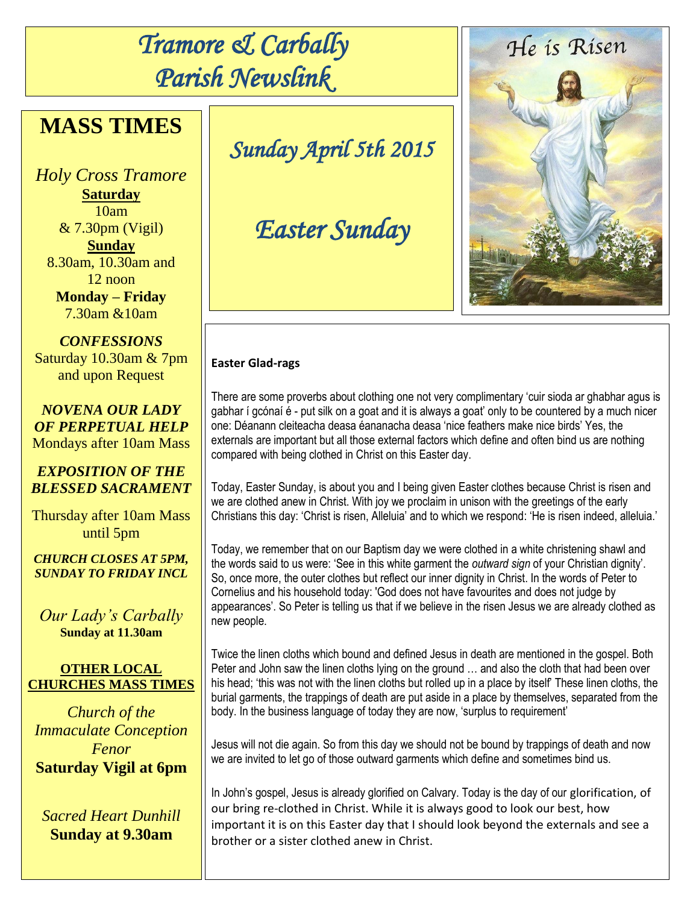# *Tramore & Carbally Parish Newslink*

# **MASS TIMES**

*Holy Cross Tramore* **Saturday** 10am  $& 7.30 \text{pm}$  (Vigil) **Sunday** 8.30am, 10.30am and 12 noon **Monday – Friday** 7.30am &10am

*CONFESSIONS* Saturday 10.30am & 7pm and upon Request

*NOVENA OUR LADY OF PERPETUAL HELP* Mondays after 10am Mass

# *EXPOSITION OF THE BLESSED SACRAMENT*

Thursday after 10am Mass until 5pm

*CHURCH CLOSES AT 5PM, SUNDAY TO FRIDAY INCL*

*Our Lady's Carbally* **Sunday at 11.30am**

### **OTHER LOCAL CHURCHES MASS TIMES**

*Church of the Immaculate Conception Fenor* **Saturday Vigil at 6pm**

*Sacred Heart Dunhill* **Sunday at 9.30am**

*Sunday April 5th 2015* 

# *Easter Sunday*

### **Easter Glad-rags**

There are some proverbs about clothing one not very complimentary 'cuir sioda ar ghabhar agus is gabhar í gcónaí é - put silk on a goat and it is always a goat' only to be countered by a much nicer one: Déanann cleiteacha deasa éananacha deasa 'nice feathers make nice birds' Yes, the externals are important but all those external factors which define and often bind us are nothing compared with being clothed in Christ on this Easter day.

Today, Easter Sunday, is about you and I being given Easter clothes because Christ is risen and we are clothed anew in Christ. With joy we proclaim in unison with the greetings of the early Christians this day: 'Christ is risen, Alleluia' and to which we respond: 'He is risen indeed, alleluia.'

Today, we remember that on our Baptism day we were clothed in a white christening shawl and the words said to us were: 'See in this white garment the *outward sign* of your Christian dignity'. So, once more, the outer clothes but reflect our inner dignity in Christ. In the words of Peter to Cornelius and his household today: 'God does not have favourites and does not judge by appearances'. So Peter is telling us that if we believe in the risen Jesus we are already clothed as new people.

Twice the linen cloths which bound and defined Jesus in death are mentioned in the gospel. Both Peter and John saw the linen cloths lying on the ground … and also the cloth that had been over his head; 'this was not with the linen cloths but rolled up in a place by itself' These linen cloths, the burial garments, the trappings of death are put aside in a place by themselves, separated from the body. In the business language of today they are now, 'surplus to requirement'

Jesus will not die again. So from this day we should not be bound by trappings of death and now we are invited to let go of those outward garments which define and sometimes bind us.

In John's gospel, Jesus is already glorified on Calvary. Today is the day of our glorification, of our bring re-clothed in Christ. While it is always good to look our best, how important it is on this Easter day that I should look beyond the externals and see a brother or a sister clothed anew in Christ.